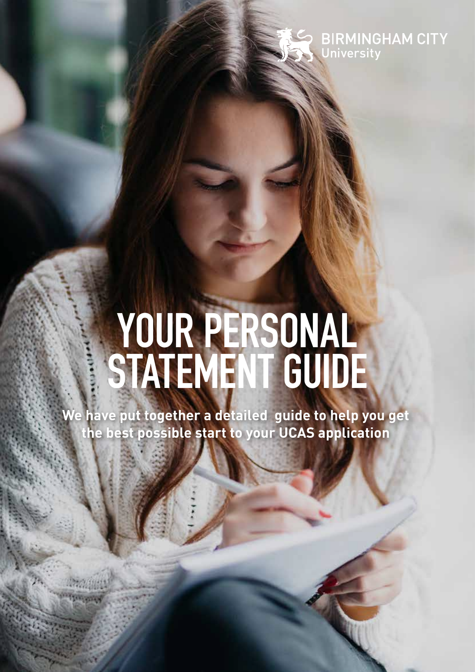**BIRMINGHAM CITY** University

# **YOUR PERSONAL STATEMENT GUIDE**

**We have put together a detailed guide to help you get the best possible start to your UCAS application**

**Manager**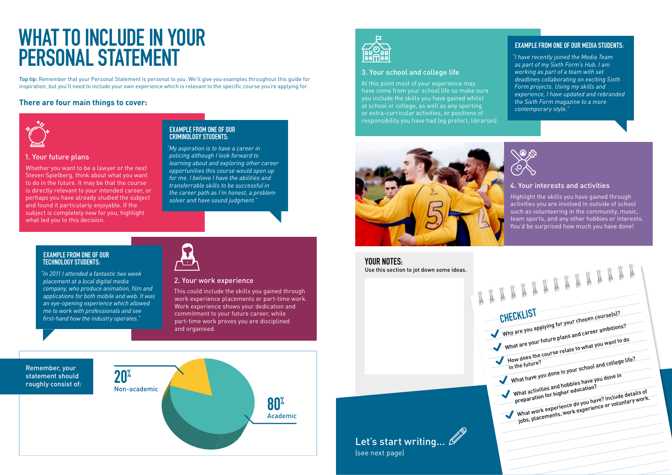1. Your future plans

Whether you want to be a lawyer or the next Steven Spielberg, think about what you want to do in the future. It may be that the course is directly relevant to your intended career, or perhaps you have already studied the subject and found it particularly enjoyable. If the subject is completely new for you, highlight what led you to this decision.

#### 2. Your work experience

This could include the skills you gained through work experience placements or part-time work. Work experience shows your dedication and commitment to your future career, while part-time work proves you are disciplined and organised.

## **WHAT TO INCLUDE IN YOUR PERSONAL STATEMENT**

#### **EXAMPLE FROM ONE OF OUR CRIMINOLOGY STUDENTS:**

*"My aspiration is to have a career in policing although I look forward to learning about and exploring other career opportunities this course would open up for me. I believe I have the abilities and transferrable skills to be successful in the career path as I'm honest, a problem solver and have sound judgment."*

#### **EXAMPLE FROM ONE OF OUR TECHNOLOGY STUDENTS:**

*"In 2011 I attended a fantastic two week placement at a local digital media*  company, who produce animation, film and *applications for both mobile and web. It was an eye-opening experience which allowed me to work with professionals and see*  first-hand how the industry operates."



| CHECKLIST                         | Why are you applying for your chosen course(s)?                                                              |
|-----------------------------------|--------------------------------------------------------------------------------------------------------------|
|                                   | What are your future plans and career ambitions?                                                             |
|                                   |                                                                                                              |
|                                   |                                                                                                              |
|                                   | How does the course relate to what you want to do                                                            |
|                                   |                                                                                                              |
| in the future?                    | What have you done in your school and college life?                                                          |
|                                   |                                                                                                              |
|                                   | What activities and hobbies have you done in                                                                 |
|                                   |                                                                                                              |
|                                   |                                                                                                              |
| preparation for higher education? | What work experience do you have? Include details of<br>jobs, placements, work experience or voluntary work. |
|                                   |                                                                                                              |
|                                   |                                                                                                              |
|                                   |                                                                                                              |

#### **There are four main things to cover:**







Top tip: Remember that your Personal Statement is personal to you. We'll give you examples throughout this guide for inspiration, but you'll need to include your own experience which is relevant to the specific course you're applying for.

#### 3. Your school and college life

At this point most of your experience may have come from your school life so make sure you include the skills you have gained whilst at school or college, as well as any sporting or extra-curricular activities, or positions of responsibility you have had (eg prefect, librarian).



#### 4. Your interests and activities

Highlight the skills you have gained through activities you are involved in outside of school such as volunteering in the community, music, team sports, and any other hobbies or interests. You'd be surprised how much you have done!

#### **EXAMPLE FROM ONE OF OUR MEDIA STUDENTS:**

Use this section to jot down some ideas. **YOUR NOTES:**

Let's start writing...  $\mathscr B$ 

*"I have recently joined the Media Team as part of my Sixth Form's Hub. I am working as part of a team with set deadlines collaborating on exciting Sixth Form projects. Using my skills and experience, I have updated and rebranded the Sixth Form magazine to a more contemporary style."*



(see next page)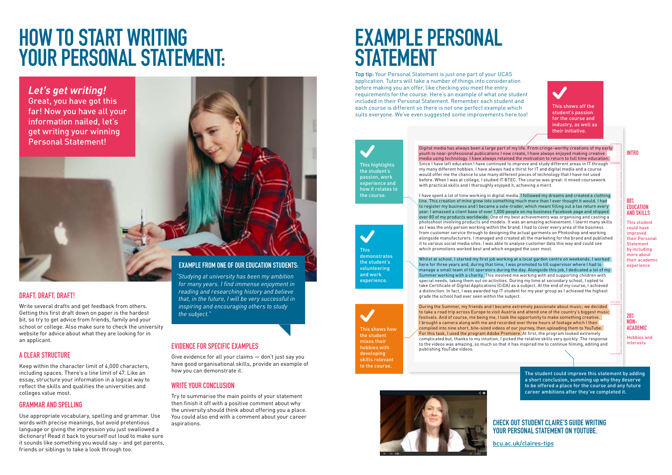### **HOW TO START WRITING YOUR PERSONAL STATEMENT:**

### **DRAFT, DRAFT, DRAFT!**

Write several drafts and get feedback from others. Getting this first draft down on paper is the hardest bit, so try to get advice from friends, family and your school or college. Also make sure to check the university website for advice about what they are looking for in an applicant.

#### **A CLEAR STRUCTURE**

Keep within the character limit of 4,000 characters, including spaces. There's a line limit of 47. Like an essay, structure your information in a logical way to reflect the skills and qualities the universities and colleges value most.

#### **GRAMMAR AND SPELLING**

Use appropriate vocabulary, spelling and grammar. Use words with precise meanings, but avoid pretentious language or giving the impression you just swallowed a dictionary! Read it back to yourself out loud to make sure it sounds like something you would say – and get parents, friends or siblings to take a look through too.

Digital media has always been a large part of my life. From cringe-worthy creations of my early youth to near-professional publications I now create, I have always enjoyed making creative media using technology. I have always retained the motivation to return to full time education. Since I have left education I have continued to improve and study different areas in IT through my many different hobbies. I have always had a thirst for IT and digital media and a course would offer me the chance to use many different pieces of technology that I have not used before. When I was at college, I studied IT BTEC. The course was great: it mixed coursework with practical skills and I thoroughly enjoyed it, achieving a merit.

#### **EVIDENCE FOR SPECIFIC EXAMPLES**

Give evidence for all your claims — don't just say you have good organisational skills, provide an example of how you can demonstrate it.

#### **WRITE YOUR CONCLUSION**

Try to summarise the main points of your statement then finish it off with a positive comment about why the university should think about offering you a place. You could also end with a comment about your career aspirations.

#### **EXAMPLE FROM ONE OF OUR EDUCATION STUDENTS:**

*"Studying at university has been my ambition*  for many years. I find immense enjoyment in *reading and researching history and believe that, in the future, I will be very successful in inspiring and encouraging others to study the subject."*

*Let's get writing!*

Great, you have got this far! Now you have all your information nailed, let's get writing your winning Personal Statement!

## **EXAMPLE PERSONAL STATEMENT**

I have spent a lot of time working in digital media. I followed my dreams and created a clothing line. This creation of mine grew into something much more than I ever thought it would. I had to register my business and I became a sole-trader, which meant filling out a tax return every year. I amassed a client base of over 1,000 people on my business Facebook page and shipped over 80 of my products worldwide. One of my best achievements was organising and casting a photoshoot involving products and models. It was an amazing achievement. I learnt many skills as I was the only person working within the brand. I had to cover every area of the business from customer service through to designing the actual garments on Photoshop and working alongside manufacturers. I managed and created all the marketing for the brand and published it to various social media sites. I was able to analyse customer data this way and could see which promotions worked best and which engaged the user most.

Whilst at school, I started my first job working at a local garden centre on weekends. I worked here for three years and, during that time, I was promoted to till supervisor where I had to manage a small team of till operators during the day. Alongside this job, I dedicated a lot of my Summer working with a charity. This involved me working with and supporting children with special needs, taking them out on activities. During my time at secondary school, I opted to take Certificate of Digital Applications (CiDA) as a subject. At the end of my course, I achieved a distinction. In fact, I was awarded top IT student for my year group as I achieved the highest grade the school had ever seen within the subject.

During the Summer, my friends and I became extremely passionate about music; we decided to take a road trip across Europe to visit Austria and attend one of the country's biggest music festivals. And of course, me being me, I took the opportunity to make something creative. I brought a camera along with me and recorded over three hours of footage which I then compiled into nine short, bite-sized videos of our journey, then uploading them to YouTube. For this task, I used the program Adobe Premiere. At first, the program looked extremely complicated but, thanks to my intuition, I picked the relative skills very quickly. The response to the videos was amazing, so much so that it has inspired me to continue filming, editing and publishing YouTube videos.





This shows off the student's passion for the course and industry, as well as their initiative.

#### **CHECK OUT STUDENT CLAIRE'S GUIDE WRITING YOUR PERSONAL STATEMENT ON YOUTUBE.**

[bcu.ac.uk/claires-tips](https://www.bcu.ac.uk/student-info/how-to-apply/making-your-application/personal-statement-tips-from-students)

Top tip: Your Personal Statement is just one part of your UCAS application. Tutors will take a number of things into consideration before making you an offer, like checking you meet the entry requirements for the course. Here's an example of what one student included in their Personal Statement. Remember each student and each course is different so there is not one perfect example which suits everyone. We've even suggested some improvements here too!

#### **INTRO**

#### **80% EDUCATION AND SKILLS**

This student could have improved their Personal Statement by including more about their academic experience

#### **20% NON-ACADEMIC**

Hobbies and interests

The student could improve this statement by adding a short conclusion, summing up why they deserve to be offered a place for the course and any future career ambitions after they've completed it.

This shows how the student mixes their hobbies with developing skills relevant to the course.

This demonstrates the student's volunteering and work experience.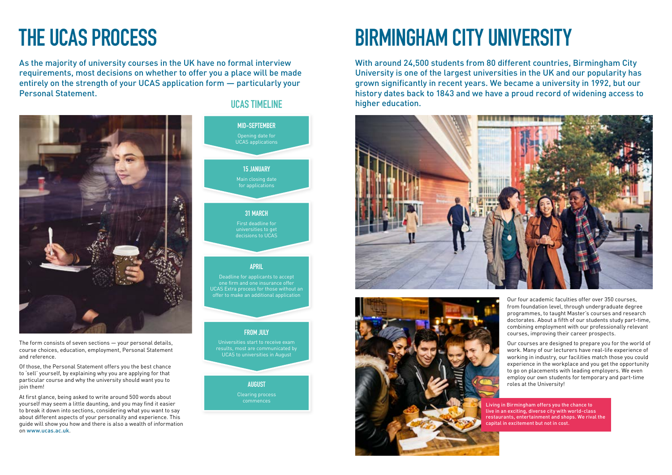# **BIRMINGHAM CITY UNIVERSITY**





programmes, to taught Master's courses and research doctorates. About a fifth of our students study part-time, combining employment with our professionally relevant courses, improving their career prospects.

Our courses are designed to prepare you for the world of work. Many of our lecturers have real-life experience of working in industry, our facilities match those you could experience in the workplace and you get the opportunity to go on placements with leading employers. We even employ our own students for temporary and part-time roles at the University!

With around 24,500 students from 80 different countries, Birmingham City University is one of the largest universities in the UK and our popularity has grown significantly in recent years. We became a university in 1992, but our history dates back to 1843 and we have a proud record of widening access to higher education.

> Living in Birmingham offers you the chance to live in an exciting, diverse city with world-class restaurants, entertainment and shops. We rival the capital in excitement but not in cost.

# **THE UCAS PROCESS**

As the majority of university courses in the UK have no formal interview requirements, most decisions on whether to offer you a place will be made entirely on the strength of your UCAS application form — particularly your Personal Statement.



The form consists of seven sections — your personal details, course choices, education, employment, Personal Statement and reference.

Of those, the Personal Statement offers you the best chance to 'sell' yourself, by explaining why you are applying for that particular course and why the university should want you to join them!

At first glance, being asked to write around 500 words about yourself may seem a little daunting, and you may find it easier to break it down into sections, considering what you want to say about different aspects of your personality and experience. This guide will show you how and there is also a wealth of information on <www.ucas.ac.uk>.